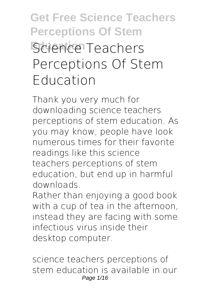# **Get Free Science Teachers Perceptions Of Stem Science Teachers Perceptions Of Stem Education**

Thank you very much for downloading **science teachers perceptions of stem education**. As you may know, people have look numerous times for their favorite readings like this science teachers perceptions of stem education, but end up in harmful downloads.

Rather than enjoying a good book with a cup of tea in the afternoon, instead they are facing with some infectious virus inside their desktop computer.

science teachers perceptions of stem education is available in our Page 1/16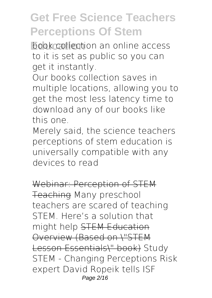**Educationa** book collection and online access to it is set as public so you can get it instantly.

Our books collection saves in multiple locations, allowing you to get the most less latency time to download any of our books like this one.

Merely said, the science teachers perceptions of stem education is universally compatible with any devices to read

Webinar: Perception of STEM Teaching **Many preschool teachers are scared of teaching STEM. Here's a solution that might help** STEM Education Overview (Based on \"STEM Lesson Essentials\" book) *Study STEM - Changing Perceptions Risk expert David Ropeik tells ISF* Page 2/16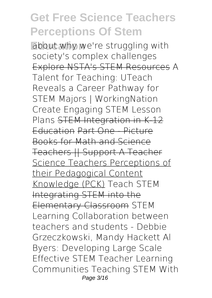**Education** *about why we're struggling with society's complex challenges* Explore NSTA's STEM Resources **A Talent for Teaching: UTeach Reveals a Career Pathway for STEM Majors | WorkingNation** *Create Engaging STEM Lesson Plans* STEM Integration in K-12 Education Part One - Picture Books for Math and Science Teachers || Support A Teacher Science Teachers Perceptions of their Pedagogical Content Knowledge (PCK) **Teach STEM** Integrating STEM into the Elementary Classroom STEM Learning Collaboration between teachers and students - Debbie Grzeczkowski, Mandy Hackett **Al Byers: Developing Large Scale Effective STEM Teacher Learning Communities** *Teaching STEM With* Page 3/16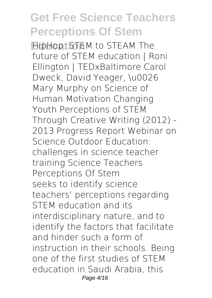**Education** *HipHop: STEM to STEAM The future of STEM education | Roni Ellington | TEDxBaltimore* **Carol Dweck, David Yeager, \u0026 Mary Murphy on Science of Human Motivation Changing Youth Perceptions of STEM Through Creative Writing (2012) - 2013 Progress Report** *Webinar on Science Outdoor Education: challenges in science teacher training* Science Teachers Perceptions Of Stem seeks to identify science teachers' perceptions regarding STEM education and its interdisciplinary nature, and to identify the factors that facilitate and hinder such a form of instruction in their schools. Being one of the first studies of STEM education in Saudi Arabia, this Page 4/16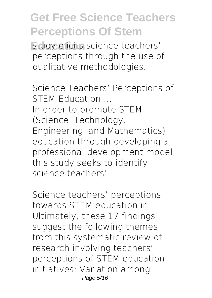**Estudy elicits science teachers'** perceptions through the use of qualitative methodologies.

Science Teachers' Perceptions of STEM Education In order to promote STEM (Science, Technology, Engineering, and Mathematics) education through developing a professional development model, this study seeks to identify science teachers'

Science teachers' perceptions towards STEM education in ... Ultimately, these 17 findings suggest the following themes from this systematic review of research involving teachers' perceptions of STEM education initiatives: Variation among Page 5/16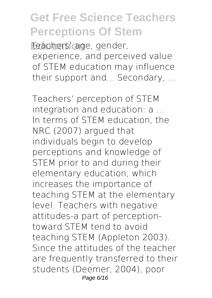teachers' age, gender, experience, and perceived value of STEM education may influence their support and... Secondary, ...

Teachers' perception of STEM integration and education: a ... In terms of STEM education, the NRC (2007) argued that individuals begin to develop perceptions and knowledge of STEM prior to and during their elementary education, which increases the importance of teaching STEM at the elementary level. Teachers with negative attitudes-a part of perceptiontoward STEM tend to avoid teaching STEM (Appleton 2003). Since the attitudes of the teacher are frequently transferred to their students (Deemer, 2004), poor Page 6/16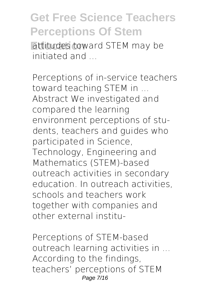**Attitudes toward STEM may be** initiated and

Perceptions of in-service teachers toward teaching STEM in ... Abstract We investigated and compared the learning environment perceptions of students, teachers and guides who participated in Science, Technology, Engineering and Mathematics (STEM)-based outreach activities in secondary education. In outreach activities, schools and teachers work together with companies and other external institu-

Perceptions of STEM-based outreach learning activities in ... According to the findings, teachers' perceptions of STEM Page 7/16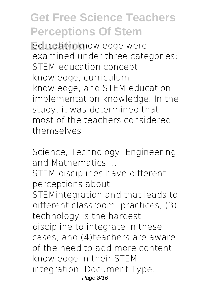**Education knowledge were** examined under three categories: STEM education concept knowledge, curriculum knowledge, and STEM education implementation knowledge. In the study, it was determined that most of the teachers considered themselves

Science, Technology, Engineering, and Mathematics ... STEM disciplines have different perceptions about STEMintegration and that leads to different classroom. practices, (3) technology is the hardest discipline to integrate in these cases, and (4)teachers are aware. of the need to add more content knowledge in their STEM integration. Document Type. Page 8/16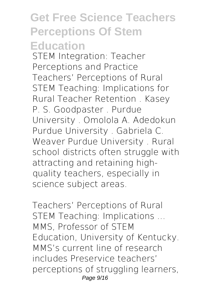STEM Integration: Teacher Perceptions and Practice Teachers' Perceptions of Rural STEM Teaching: Implications for Rural Teacher Retention . Kasey P. S. Goodpaster . Purdue University . Omolola A. Adedokun Purdue University . Gabriela C. Weaver Purdue University . Rural school districts often struggle with attracting and retaining highquality teachers, especially in science subject areas.

Teachers' Perceptions of Rural STEM Teaching: Implications ... MMS, Professor of STEM Education, University of Kentucky. MMS's current line of research includes Preservice teachers' perceptions of struggling learners, Page 9/16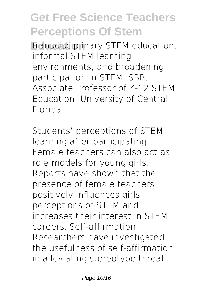**Example 3 transdisciplinary STEM education,** informal STEM learning environments, and broadening participation in STEM. SBB, Associate Professor of K-12 STEM Education, University of Central Florida.

Students' perceptions of STEM learning after participating ... Female teachers can also act as role models for young girls. Reports have shown that the presence of female teachers positively influences girls' perceptions of STEM and increases their interest in STEM careers. Self-affirmation. Researchers have investigated the usefulness of self-affirmation in alleviating stereotype threat.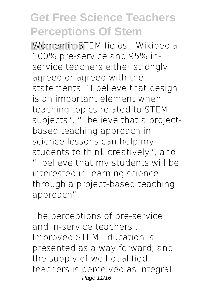**Education** Women in STEM fields - Wikipedia 100% pre-service and 95% inservice teachers either strongly agreed or agreed with the statements, "I believe that design is an important element when teaching topics related to STEM subjects", "I believe that a projectbased teaching approach in science lessons can help my students to think creatively", and "I believe that my students will be interested in learning science through a project-based teaching approach".

The perceptions of pre-service and in-service teachers ... Improved STEM Education is presented as a way forward, and the supply of well qualified teachers is perceived as integral Page 11/16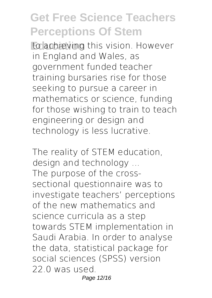to achieving this vision. However in England and Wales, as government funded teacher training bursaries rise for those seeking to pursue a career in mathematics or science, funding for those wishing to train to teach engineering or design and technology is less lucrative.

The reality of STEM education, design and technology ... The purpose of the crosssectional questionnaire was to investigate teachers' perceptions of the new mathematics and science curricula as a step towards STEM implementation in Saudi Arabia. In order to analyse the data, statistical package for social sciences (SPSS) version 22.0 was used. Page 12/16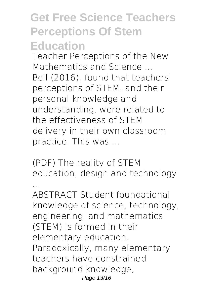Teacher Perceptions of the New Mathematics and Science ... Bell (2016), found that teachers' perceptions of STEM, and their personal knowledge and understanding, were related to the effectiveness of STEM delivery in their own classroom practice. This was ...

(PDF) The reality of STEM education, design and technology

... ABSTRACT Student foundational knowledge of science, technology, engineering, and mathematics (STEM) is formed in their elementary education. Paradoxically, many elementary teachers have constrained background knowledge, Page 13/16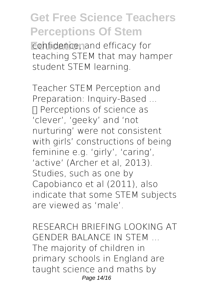**Eonfidence, and efficacy for** teaching STEM that may hamper student STEM learning.

Teacher STEM Perception and Preparation: Inquiry-Based ... □ Perceptions of science as 'clever', 'geeky' and 'not nurturing' were not consistent with girls' constructions of being feminine e.g. 'girly', 'caring', 'active' (Archer et al, 2013). Studies, such as one by Capobianco et al (2011), also indicate that some STEM subjects are viewed as 'male'.

RESEARCH BRIEFING LOOKING AT GENDER BALANCE IN STEM ... The majority of children in primary schools in England are taught science and maths by Page 14/16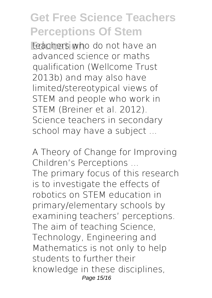**Education** teachers who do not have an advanced science or maths qualification (Wellcome Trust 2013b) and may also have limited/stereotypical views of STEM and people who work in STEM (Breiner et al. 2012). Science teachers in secondary school may have a subject ...

A Theory of Change for Improving Children's Perceptions ... The primary focus of this research is to investigate the effects of robotics on STEM education in primary/elementary schools by examining teachers' perceptions. The aim of teaching Science, Technology, Engineering and Mathematics is not only to help students to further their knowledge in these disciplines, Page 15/16